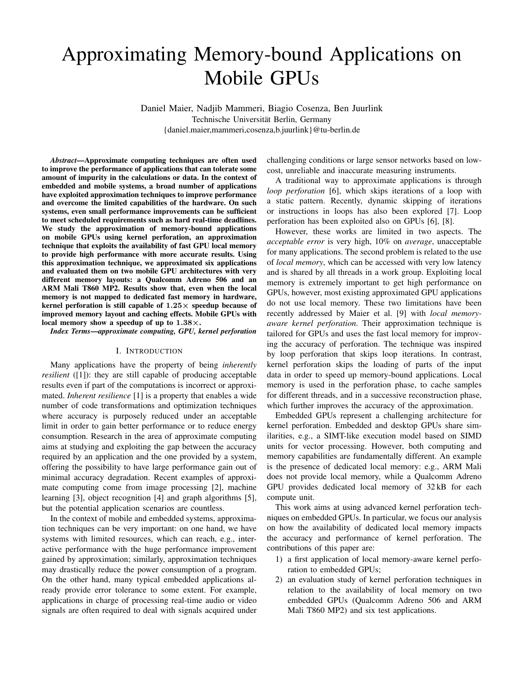# Approximating Memory-bound Applications on Mobile GPUs

Daniel Maier, Nadjib Mammeri, Biagio Cosenza, Ben Juurlink Technische Universität Berlin, Germany {daniel.maier,mammeri,cosenza,b.juurlink}@tu-berlin.de

*Abstract*—Approximate computing techniques are often used to improve the performance of applications that can tolerate some amount of impurity in the calculations or data. In the context of embedded and mobile systems, a broad number of applications have exploited approximation techniques to improve performance and overcome the limited capabilities of the hardware. On such systems, even small performance improvements can be sufficient to meet scheduled requirements such as hard real-time deadlines. We study the approximation of memory-bound applications on mobile GPUs using kernel perforation, an approximation technique that exploits the availability of fast GPU local memory to provide high performance with more accurate results. Using this approximation technique, we approximated six applications and evaluated them on two mobile GPU architectures with very different memory layouts: a Qualcomm Adreno 506 and an ARM Mali T860 MP2. Results show that, even when the local memory is not mapped to dedicated fast memory in hardware, kernel perforation is still capable of  $1.25\times$  speedup because of improved memory layout and caching effects. Mobile GPUs with local memory show a speedup of up to  $1.38\times$ .

*Index Terms*—*approximate computing, GPU, kernel perforation*

## I. INTRODUCTION

Many applications have the property of being *inherently resilient* ([1]): they are still capable of producing acceptable results even if part of the computations is incorrect or approximated. *Inherent resilience* [1] is a property that enables a wide number of code transformations and optimization techniques where accuracy is purposely reduced under an acceptable limit in order to gain better performance or to reduce energy consumption. Research in the area of approximate computing aims at studying and exploiting the gap between the accuracy required by an application and the one provided by a system, offering the possibility to have large performance gain out of minimal accuracy degradation. Recent examples of approximate computing come from image processing [2], machine learning [3], object recognition [4] and graph algorithms [5], but the potential application scenarios are countless.

In the context of mobile and embedded systems, approximation techniques can be very important: on one hand, we have systems with limited resources, which can reach, e.g., interactive performance with the huge performance improvement gained by approximation; similarly, approximation techniques may drastically reduce the power consumption of a program. On the other hand, many typical embedded applications already provide error tolerance to some extent. For example, applications in charge of processing real-time audio or video signals are often required to deal with signals acquired under challenging conditions or large sensor networks based on lowcost, unreliable and inaccurate measuring instruments.

A traditional way to approximate applications is through *loop perforation* [6], which skips iterations of a loop with a static pattern. Recently, dynamic skipping of iterations or instructions in loops has also been explored [7]. Loop perforation has been exploited also on GPUs [6], [8].

However, these works are limited in two aspects. The *acceptable error* is very high, 10% on *average*, unacceptable for many applications. The second problem is related to the use of *local memory*, which can be accessed with very low latency and is shared by all threads in a work group. Exploiting local memory is extremely important to get high performance on GPUs, however, most existing approximated GPU applications do not use local memory. These two limitations have been recently addressed by Maier et al. [9] with *local memoryaware kernel perforation*. Their approximation technique is tailored for GPUs and uses the fast local memory for improving the accuracy of perforation. The technique was inspired by loop perforation that skips loop iterations. In contrast, kernel perforation skips the loading of parts of the input data in order to speed up memory-bound applications. Local memory is used in the perforation phase, to cache samples for different threads, and in a successive reconstruction phase, which further improves the accuracy of the approximation.

Embedded GPUs represent a challenging architecture for kernel perforation. Embedded and desktop GPUs share similarities, e.g., a SIMT-like execution model based on SIMD units for vector processing. However, both computing and memory capabilities are fundamentally different. An example is the presence of dedicated local memory: e.g., ARM Mali does not provide local memory, while a Qualcomm Adreno GPU provides dedicated local memory of 32 kB for each compute unit.

This work aims at using advanced kernel perforation techniques on embedded GPUs. In particular, we focus our analysis on how the availability of dedicated local memory impacts the accuracy and performance of kernel perforation. The contributions of this paper are:

- 1) a first application of local memory-aware kernel perforation to embedded GPUs;
- 2) an evaluation study of kernel perforation techniques in relation to the availability of local memory on two embedded GPUs (Qualcomm Adreno 506 and ARM Mali T860 MP2) and six test applications.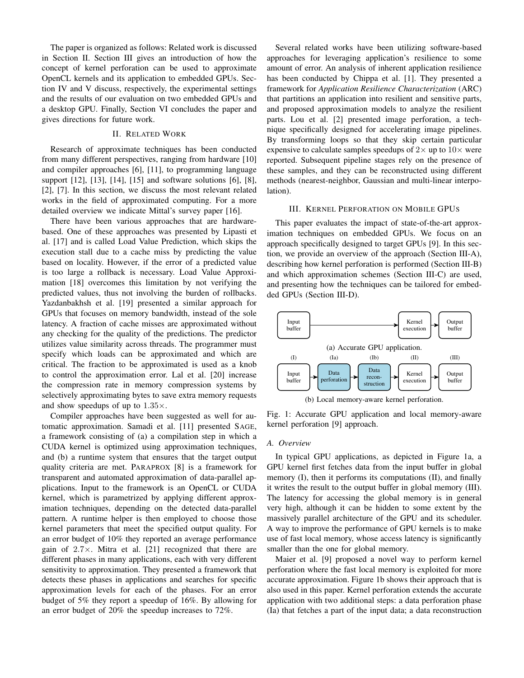The paper is organized as follows: Related work is discussed in Section II. Section III gives an introduction of how the concept of kernel perforation can be used to approximate OpenCL kernels and its application to embedded GPUs. Section IV and V discuss, respectively, the experimental settings and the results of our evaluation on two embedded GPUs and a desktop GPU. Finally, Section VI concludes the paper and gives directions for future work.

# II. RELATED WORK

Research of approximate techniques has been conducted from many different perspectives, ranging from hardware [10] and compiler approaches [6], [11], to programming language support [12], [13], [14], [15] and software solutions [6], [8], [2], [7]. In this section, we discuss the most relevant related works in the field of approximated computing. For a more detailed overview we indicate Mittal's survey paper [16].

There have been various approaches that are hardwarebased. One of these approaches was presented by Lipasti et al. [17] and is called Load Value Prediction, which skips the execution stall due to a cache miss by predicting the value based on locality. However, if the error of a predicted value is too large a rollback is necessary. Load Value Approximation [18] overcomes this limitation by not verifying the predicted values, thus not involving the burden of rollbacks. Yazdanbakhsh et al. [19] presented a similar approach for GPUs that focuses on memory bandwidth, instead of the sole latency. A fraction of cache misses are approximated without any checking for the quality of the predictions. The predictor utilizes value similarity across threads. The programmer must specify which loads can be approximated and which are critical. The fraction to be approximated is used as a knob to control the approximation error. Lal et al. [20] increase the compression rate in memory compression systems by selectively approximating bytes to save extra memory requests and show speedups of up to  $1.35\times$ .

Compiler approaches have been suggested as well for automatic approximation. Samadi et al. [11] presented SAGE, a framework consisting of (a) a compilation step in which a CUDA kernel is optimized using approximation techniques, and (b) a runtime system that ensures that the target output quality criteria are met. PARAPROX [8] is a framework for transparent and automated approximation of data-parallel applications. Input to the framework is an OpenCL or CUDA kernel, which is parametrized by applying different approximation techniques, depending on the detected data-parallel pattern. A runtime helper is then employed to choose those kernel parameters that meet the specified output quality. For an error budget of 10% they reported an average performance gain of  $2.7\times$ . Mitra et al. [21] recognized that there are different phases in many applications, each with very different sensitivity to approximation. They presented a framework that detects these phases in applications and searches for specific approximation levels for each of the phases. For an error budget of 5% they report a speedup of 16%. By allowing for an error budget of 20% the speedup increases to 72%.

Several related works have been utilizing software-based approaches for leveraging application's resilience to some amount of error. An analysis of inherent application resilience has been conducted by Chippa et al. [1]. They presented a framework for *Application Resilience Characterization* (ARC) that partitions an application into resilient and sensitive parts, and proposed approximation models to analyze the resilient parts. Lou et al. [2] presented image perforation, a technique specifically designed for accelerating image pipelines. By transforming loops so that they skip certain particular expensive to calculate samples speedups of  $2\times$  up to  $10\times$  were reported. Subsequent pipeline stages rely on the presence of these samples, and they can be reconstructed using different methods (nearest-neighbor, Gaussian and multi-linear interpolation).

## III. KERNEL PERFORATION ON MOBILE GPUS

This paper evaluates the impact of state-of-the-art approximation techniques on embedded GPUs. We focus on an approach specifically designed to target GPUs [9]. In this section, we provide an overview of the approach (Section III-A), describing how kernel perforation is performed (Section III-B) and which approximation schemes (Section III-C) are used, and presenting how the techniques can be tailored for embedded GPUs (Section III-D).



(b) Local memory-aware kernel perforation.

Fig. 1: Accurate GPU application and local memory-aware kernel perforation [9] approach.

# *A. Overview*

In typical GPU applications, as depicted in Figure 1a, a GPU kernel first fetches data from the input buffer in global memory (I), then it performs its computations (II), and finally it writes the result to the output buffer in global memory (III). The latency for accessing the global memory is in general very high, although it can be hidden to some extent by the massively parallel architecture of the GPU and its scheduler. A way to improve the performance of GPU kernels is to make use of fast local memory, whose access latency is significantly smaller than the one for global memory.

Maier et al. [9] proposed a novel way to perform kernel perforation where the fast local memory is exploited for more accurate approximation. Figure 1b shows their approach that is also used in this paper. Kernel perforation extends the accurate application with two additional steps: a data perforation phase (Ia) that fetches a part of the input data; a data reconstruction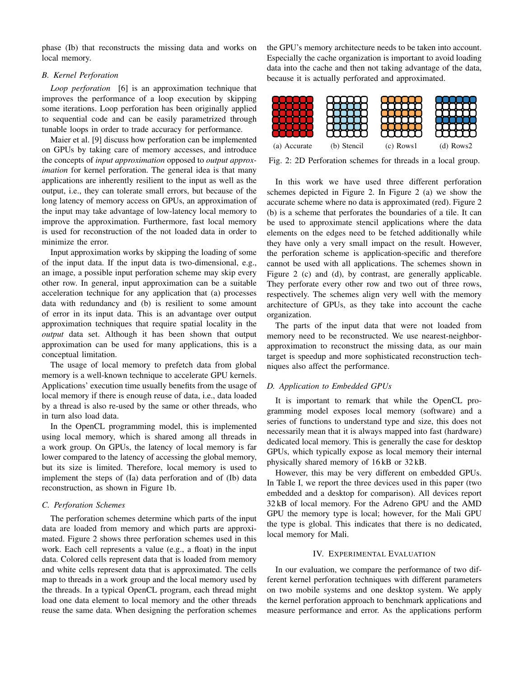phase (Ib) that reconstructs the missing data and works on local memory.

## *B. Kernel Perforation*

*Loop perforation* [6] is an approximation technique that improves the performance of a loop execution by skipping some iterations. Loop perforation has been originally applied to sequential code and can be easily parametrized through tunable loops in order to trade accuracy for performance.

Maier et al. [9] discuss how perforation can be implemented on GPUs by taking care of memory accesses, and introduce the concepts of *input approximation* opposed to *output approximation* for kernel perforation. The general idea is that many applications are inherently resilient to the input as well as the output, i.e., they can tolerate small errors, but because of the long latency of memory access on GPUs, an approximation of the input may take advantage of low-latency local memory to improve the approximation. Furthermore, fast local memory is used for reconstruction of the not loaded data in order to minimize the error.

Input approximation works by skipping the loading of some of the input data. If the input data is two-dimensional, e.g., an image, a possible input perforation scheme may skip every other row. In general, input approximation can be a suitable acceleration technique for any application that (a) processes data with redundancy and (b) is resilient to some amount of error in its input data. This is an advantage over output approximation techniques that require spatial locality in the *output* data set. Although it has been shown that output approximation can be used for many applications, this is a conceptual limitation.

The usage of local memory to prefetch data from global memory is a well-known technique to accelerate GPU kernels. Applications' execution time usually benefits from the usage of local memory if there is enough reuse of data, i.e., data loaded by a thread is also re-used by the same or other threads, who in turn also load data.

In the OpenCL programming model, this is implemented using local memory, which is shared among all threads in a work group. On GPUs, the latency of local memory is far lower compared to the latency of accessing the global memory, but its size is limited. Therefore, local memory is used to implement the steps of (Ia) data perforation and of (Ib) data reconstruction, as shown in Figure 1b.

#### *C. Perforation Schemes*

The perforation schemes determine which parts of the input data are loaded from memory and which parts are approximated. Figure 2 shows three perforation schemes used in this work. Each cell represents a value (e.g., a float) in the input data. Colored cells represent data that is loaded from memory and white cells represent data that is approximated. The cells map to threads in a work group and the local memory used by the threads. In a typical OpenCL program, each thread might load one data element to local memory and the other threads reuse the same data. When designing the perforation schemes

the GPU's memory architecture needs to be taken into account. Especially the cache organization is important to avoid loading data into the cache and then not taking advantage of the data, because it is actually perforated and approximated.



Fig. 2: 2D Perforation schemes for threads in a local group.

In this work we have used three different perforation schemes depicted in Figure 2. In Figure 2 (a) we show the accurate scheme where no data is approximated (red). Figure 2 (b) is a scheme that perforates the boundaries of a tile. It can be used to approximate stencil applications where the data elements on the edges need to be fetched additionally while they have only a very small impact on the result. However, the perforation scheme is application-specific and therefore cannot be used with all applications. The schemes shown in Figure 2 (c) and (d), by contrast, are generally applicable. They perforate every other row and two out of three rows, respectively. The schemes align very well with the memory architecture of GPUs, as they take into account the cache organization.

The parts of the input data that were not loaded from memory need to be reconstructed. We use nearest-neighborapproximation to reconstruct the missing data, as our main target is speedup and more sophisticated reconstruction techniques also affect the performance.

# *D. Application to Embedded GPUs*

It is important to remark that while the OpenCL programming model exposes local memory (software) and a series of functions to understand type and size, this does not necessarily mean that it is always mapped into fast (hardware) dedicated local memory. This is generally the case for desktop GPUs, which typically expose as local memory their internal physically shared memory of 16 kB or 32 kB.

However, this may be very different on embedded GPUs. In Table I, we report the three devices used in this paper (two embedded and a desktop for comparison). All devices report 32 kB of local memory. For the Adreno GPU and the AMD GPU the memory type is local; however, for the Mali GPU the type is global. This indicates that there is no dedicated, local memory for Mali.

# IV. EXPERIMENTAL EVALUATION

In our evaluation, we compare the performance of two different kernel perforation techniques with different parameters on two mobile systems and one desktop system. We apply the kernel perforation approach to benchmark applications and measure performance and error. As the applications perform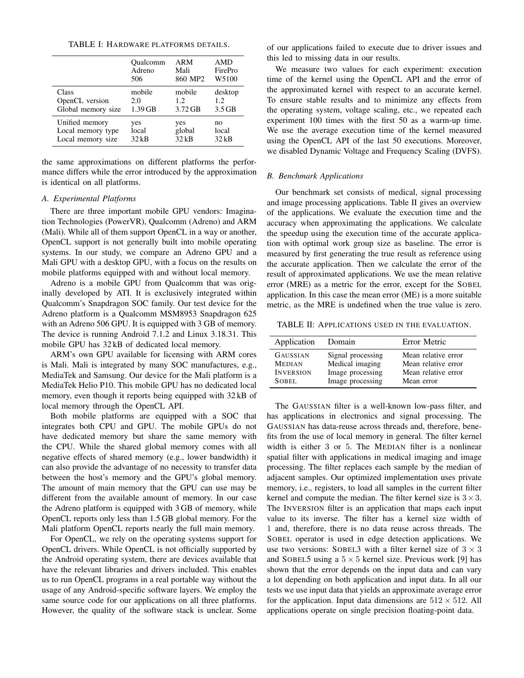|                    | Qualcomm  | ARM     | AMD      |
|--------------------|-----------|---------|----------|
|                    | Adreno    | Mali    | FirePro  |
|                    | 506       | 860 MP2 | W5100    |
| Class              | mobile    | mobile  | desktop  |
| OpenCL version     | 2.0       | 1.2.    | 1.2.     |
| Global memory size | $1.39$ GB | 3.72 GB | $3.5$ GB |
| Unified memory     | yes       | yes     | no       |
| Local memory type  | local     | global  | local    |
| Local memory size  | $32$ kB   | 32kB    | 32kB     |

the same approximations on different platforms the performance differs while the error introduced by the approximation is identical on all platforms.

# *A. Experimental Platforms*

There are three important mobile GPU vendors: Imagination Technologies (PowerVR), Qualcomm (Adreno) and ARM (Mali). While all of them support OpenCL in a way or another, OpenCL support is not generally built into mobile operating systems. In our study, we compare an Adreno GPU and a Mali GPU with a desktop GPU, with a focus on the results on mobile platforms equipped with and without local memory.

Adreno is a mobile GPU from Qualcomm that was originally developed by ATI. It is exclusively integrated within Qualcomm's Snapdragon SOC family. Our test device for the Adreno platform is a Qualcomm MSM8953 Snapdragon 625 with an Adreno 506 GPU. It is equipped with 3 GB of memory. The device is running Android 7.1.2 and Linux 3.18.31. This mobile GPU has 32 kB of dedicated local memory.

ARM's own GPU available for licensing with ARM cores is Mali. Mali is integrated by many SOC manufactures, e.g., MediaTek and Samsung. Our device for the Mali platform is a MediaTek Helio P10. This mobile GPU has no dedicated local memory, even though it reports being equipped with 32 kB of local memory through the OpenCL API.

Both mobile platforms are equipped with a SOC that integrates both CPU and GPU. The mobile GPUs do not have dedicated memory but share the same memory with the CPU. While the shared global memory comes with all negative effects of shared memory (e.g., lower bandwidth) it can also provide the advantage of no necessity to transfer data between the host's memory and the GPU's global memory. The amount of main memory that the GPU can use may be different from the available amount of memory. In our case the Adreno platform is equipped with 3 GB of memory, while OpenCL reports only less than 1.5 GB global memory. For the Mali platform OpenCL reports nearly the full main memory.

For OpenCL, we rely on the operating systems support for OpenCL drivers. While OpenCL is not officially supported by the Android operating system, there are devices available that have the relevant libraries and drivers included. This enables us to run OpenCL programs in a real portable way without the usage of any Android-specific software layers. We employ the same source code for our applications on all three platforms. However, the quality of the software stack is unclear. Some

of our applications failed to execute due to driver issues and this led to missing data in our results.

We measure two values for each experiment: execution time of the kernel using the OpenCL API and the error of the approximated kernel with respect to an accurate kernel. To ensure stable results and to minimize any effects from the operating system, voltage scaling, etc., we repeated each experiment 100 times with the first 50 as a warm-up time. We use the average execution time of the kernel measured using the OpenCL API of the last 50 executions. Moreover, we disabled Dynamic Voltage and Frequency Scaling (DVFS).

#### *B. Benchmark Applications*

Our benchmark set consists of medical, signal processing and image processing applications. Table II gives an overview of the applications. We evaluate the execution time and the accuracy when approximating the applications. We calculate the speedup using the execution time of the accurate application with optimal work group size as baseline. The error is measured by first generating the true result as reference using the accurate application. Then we calculate the error of the result of approximated applications. We use the mean relative error (MRE) as a metric for the error, except for the SOBEL application. In this case the mean error (ME) is a more suitable metric, as the MRE is undefined when the true value is zero.

TABLE II: APPLICATIONS USED IN THE EVALUATION.

| Application      | Domain            | Error Metric        |
|------------------|-------------------|---------------------|
| <b>GAUSSIAN</b>  | Signal processing | Mean relative error |
| <b>MEDIAN</b>    | Medical imaging   | Mean relative error |
| <b>INVERSION</b> | Image processing  | Mean relative error |
| SOBEL.           | Image processing  | Mean error          |

The GAUSSIAN filter is a well-known low-pass filter, and has applications in electronics and signal processing. The GAUSSIAN has data-reuse across threads and, therefore, benefits from the use of local memory in general. The filter kernel width is either 3 or 5. The MEDIAN filter is a nonlinear spatial filter with applications in medical imaging and image processing. The filter replaces each sample by the median of adjacent samples. Our optimized implementation uses private memory, i.e., registers, to load all samples in the current filter kernel and compute the median. The filter kernel size is  $3 \times 3$ . The INVERSION filter is an application that maps each input value to its inverse. The filter has a kernel size width of 1 and, therefore, there is no data reuse across threads. The SOBEL operator is used in edge detection applications. We use two versions: SOBEL3 with a filter kernel size of  $3 \times 3$ and SOBEL5 using a  $5 \times 5$  kernel size. Previous work [9] has shown that the error depends on the input data and can vary a lot depending on both application and input data. In all our tests we use input data that yields an approximate average error for the application. Input data dimensions are  $512 \times 512$ . All applications operate on single precision floating-point data.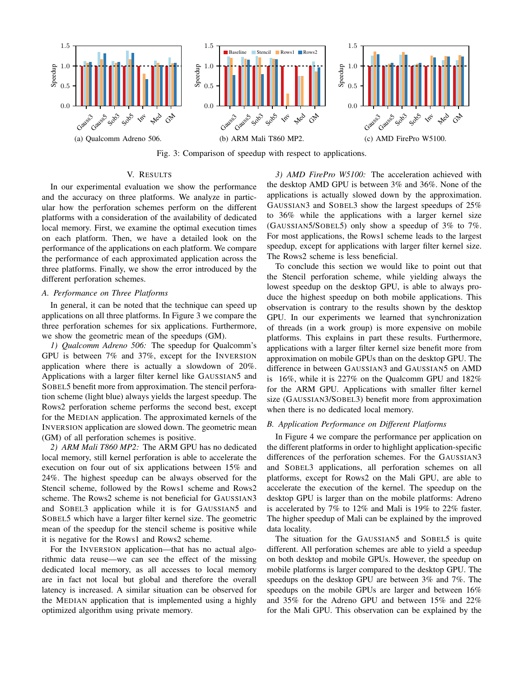

Fig. 3: Comparison of speedup with respect to applications.

# V. RESULTS

In our experimental evaluation we show the performance and the accuracy on three platforms. We analyze in particular how the perforation schemes perform on the different platforms with a consideration of the availability of dedicated local memory. First, we examine the optimal execution times on each platform. Then, we have a detailed look on the performance of the applications on each platform. We compare the performance of each approximated application across the three platforms. Finally, we show the error introduced by the different perforation schemes.

## *A. Performance on Three Platforms*

In general, it can be noted that the technique can speed up applications on all three platforms. In Figure 3 we compare the three perforation schemes for six applications. Furthermore, we show the geometric mean of the speedups (GM).

*1) Qualcomm Adreno 506:* The speedup for Qualcomm's GPU is between 7% and 37%, except for the INVERSION application where there is actually a slowdown of 20%. Applications with a larger filter kernel like GAUSSIAN5 and SOBEL5 benefit more from approximation. The stencil perforation scheme (light blue) always yields the largest speedup. The Rows2 perforation scheme performs the second best, except for the MEDIAN application. The approximated kernels of the INVERSION application are slowed down. The geometric mean (GM) of all perforation schemes is positive.

*2) ARM Mali T860 MP2:* The ARM GPU has no dedicated local memory, still kernel perforation is able to accelerate the execution on four out of six applications between 15% and 24%. The highest speedup can be always observed for the Stencil scheme, followed by the Rows1 scheme and Rows2 scheme. The Rows2 scheme is not beneficial for GAUSSIAN3 and SOBEL3 application while it is for GAUSSIAN5 and SOBEL5 which have a larger filter kernel size. The geometric mean of the speedup for the stencil scheme is positive while it is negative for the Rows1 and Rows2 scheme.

For the INVERSION application—that has no actual algorithmic data reuse—we can see the effect of the missing dedicated local memory, as all accesses to local memory are in fact not local but global and therefore the overall latency is increased. A similar situation can be observed for the MEDIAN application that is implemented using a highly optimized algorithm using private memory.

*3) AMD FirePro W5100:* The acceleration achieved with the desktop AMD GPU is between 3% and 36%. None of the applications is actually slowed down by the approximation. GAUSSIAN3 and SOBEL3 show the largest speedups of 25% to 36% while the applications with a larger kernel size (GAUSSIAN5/SOBEL5) only show a speedup of 3% to 7%. For most applications, the Rows1 scheme leads to the largest speedup, except for applications with larger filter kernel size. The Rows2 scheme is less beneficial.

To conclude this section we would like to point out that the Stencil perforation scheme, while yielding always the lowest speedup on the desktop GPU, is able to always produce the highest speedup on both mobile applications. This observation is contrary to the results shown by the desktop GPU. In our experiments we learned that synchronization of threads (in a work group) is more expensive on mobile platforms. This explains in part these results. Furthermore, applications with a larger filter kernel size benefit more from approximation on mobile GPUs than on the desktop GPU. The difference in between GAUSSIAN3 and GAUSSIAN5 on AMD is 16%, while it is 227% on the Qualcomm GPU and 182% for the ARM GPU. Applications with smaller filter kernel size (GAUSSIAN3/SOBEL3) benefit more from approximation when there is no dedicated local memory.

## *B. Application Performance on Different Platforms*

In Figure 4 we compare the performance per application on the different platforms in order to highlight application-specific differences of the perforation schemes. For the GAUSSIAN3 and SOBEL3 applications, all perforation schemes on all platforms, except for Rows2 on the Mali GPU, are able to accelerate the execution of the kernel. The speedup on the desktop GPU is larger than on the mobile platforms: Adreno is accelerated by 7% to 12% and Mali is 19% to 22% faster. The higher speedup of Mali can be explained by the improved data locality.

The situation for the GAUSSIAN5 and SOBEL5 is quite different. All perforation schemes are able to yield a speedup on both desktop and mobile GPUs. However, the speedup on mobile platforms is larger compared to the desktop GPU. The speedups on the desktop GPU are between 3% and 7%. The speedups on the mobile GPUs are larger and between 16% and 35% for the Adreno GPU and between 15% and 22% for the Mali GPU. This observation can be explained by the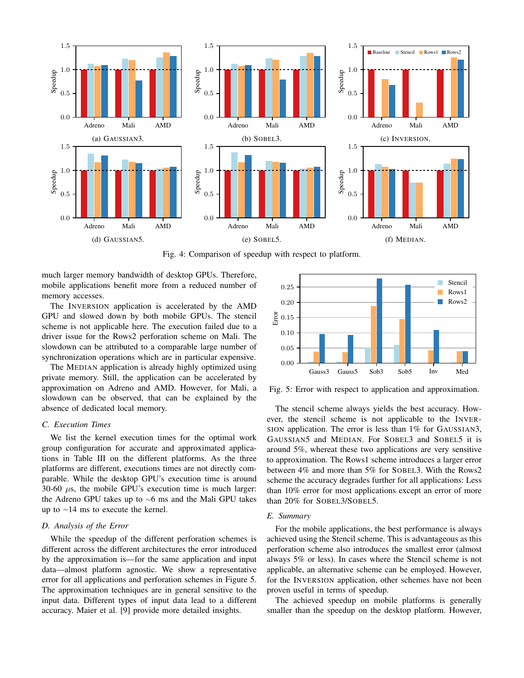

Fig. 4: Comparison of speedup with respect to platform.

much larger memory bandwidth of desktop GPUs. Therefore, mobile applications benefit more from a reduced number of memory accesses.

The INVERSION application is accelerated by the AMD GPU and slowed down by both mobile GPUs. The stencil scheme is not applicable here. The execution failed due to a driver issue for the Rows2 perforation scheme on Mali. The slowdown can be attributed to a comparable large number of synchronization operations which are in particular expensive.

The MEDIAN application is already highly optimized using private memory. Still, the application can be accelerated by approximation on Adreno and AMD. However, for Mali, a slowdown can be observed, that can be explained by the absence of dedicated local memory.

## *C. Execution Times*

We list the kernel execution times for the optimal work group configuration for accurate and approximated applications in Table III on the different platforms. As the three platforms are different, executions times are not directly comparable. While the desktop GPU's execution time is around 30-60  $\mu$ s, the mobile GPU's execution time is much larger: the Adreno GPU takes up to <sup>∼</sup>6 ms and the Mali GPU takes up to <sup>∼</sup>14 ms to execute the kernel.

#### *D. Analysis of the Error*

While the speedup of the different perforation schemes is different across the different architectures the error introduced by the approximation is—for the same application and input data—almost platform agnostic. We show a representative error for all applications and perforation schemes in Figure 5. The approximation techniques are in general sensitive to the input data. Different types of input data lead to a different accuracy. Maier et al. [9] provide more detailed insights.



Fig. 5: Error with respect to application and approximation.

The stencil scheme always yields the best accuracy. However, the stencil scheme is not applicable to the INVER-SION application. The error is less than 1% for GAUSSIAN3, GAUSSIAN5 and MEDIAN. For SOBEL3 and SOBEL5 it is around 5%, whereat these two applications are very sensitive to approximation. The Rows1 scheme introduces a larger error between 4% and more than 5% for SOBEL3. With the Rows2 scheme the accuracy degrades further for all applications: Less than 10% error for most applications except an error of more than 20% for SOBEL3/SOBEL5.

#### *E. Summary*

For the mobile applications, the best performance is always achieved using the Stencil scheme. This is advantageous as this perforation scheme also introduces the smallest error (almost always 5% or less). In cases where the Stencil scheme is not applicable, an alternative scheme can be employed. However, for the INVERSION application, other schemes have not been proven useful in terms of speedup.

The achieved speedup on mobile platforms is generally smaller than the speedup on the desktop platform. However,